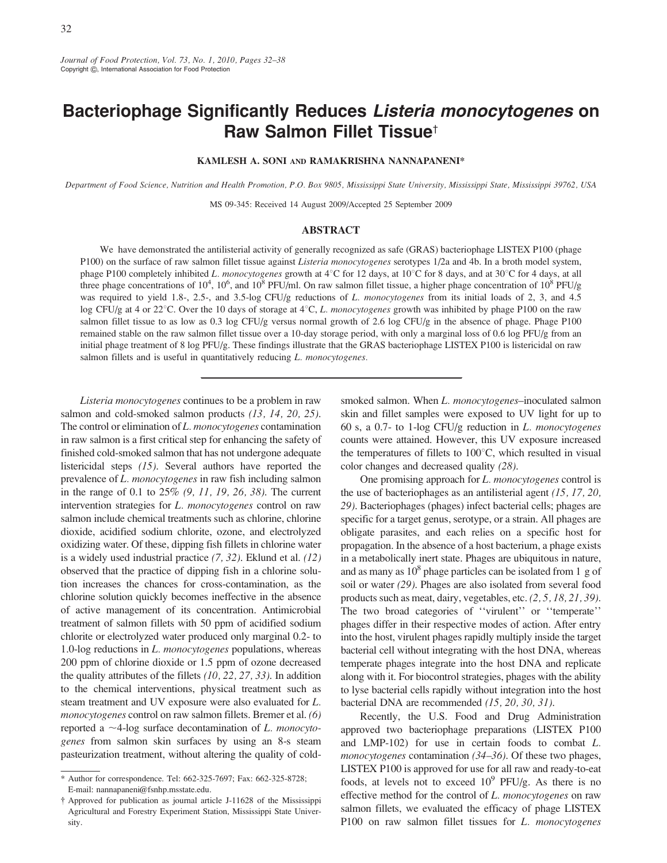Journal of Food Protection, Vol. 73, No. 1, 2010, Pages 32–38 Copyright G, International Association for Food Protection

# Bacteriophage Significantly Reduces Listeria monocytogenes on Raw Salmon Fillet Tissue<sup>+</sup>

KAMLESH A. SONI AND RAMAKRISHNA NANNAPANENI\*

Department of Food Science, Nutrition and Health Promotion, P.O. Box 9805, Mississippi State University, Mississippi State, Mississippi 39762, USA

MS 09-345: Received 14 August 2009/Accepted 25 September 2009

### ABSTRACT

We have demonstrated the antilisterial activity of generally recognized as safe (GRAS) bacteriophage LISTEX P100 (phage P100) on the surface of raw salmon fillet tissue against *Listeria monocytogenes* serotypes 1/2a and 4b. In a broth model system, phage P100 completely inhibited L. monocytogenes growth at  $4^{\circ}$ C for 12 days, at 10<sup>o</sup>C for 8 days, and at 30<sup>o</sup>C for 4 days, at all three phage concentrations of  $10^4$ ,  $10^6$ , and  $10^8$  PFU/ml. On raw salmon fillet tissue, a higher phage concentration of  $10^8$  PFU/g was required to yield 1.8-, 2.5-, and 3.5-log CFU/g reductions of L. monocytogenes from its initial loads of 2, 3, and 4.5 log CFU/g at 4 or 22<sup>o</sup>C. Over the 10 days of storage at  $4^{\circ}$ C, L. monocytogenes growth was inhibited by phage P100 on the raw salmon fillet tissue to as low as 0.3 log CFU/g versus normal growth of 2.6 log CFU/g in the absence of phage. Phage P100 remained stable on the raw salmon fillet tissue over a 10-day storage period, with only a marginal loss of 0.6 log PFU/g from an initial phage treatment of 8 log PFU/g. These findings illustrate that the GRAS bacteriophage LISTEX P100 is listericidal on raw salmon fillets and is useful in quantitatively reducing L. monocytogenes.

Listeria monocytogenes continues to be a problem in raw salmon and cold-smoked salmon products (13, 14, 20, 25). The control or elimination of L. monocytogenes contamination in raw salmon is a first critical step for enhancing the safety of finished cold-smoked salmon that has not undergone adequate listericidal steps (15). Several authors have reported the prevalence of L. monocytogenes in raw fish including salmon in the range of 0.1 to 25% (9, 11, 19, 26, 38). The current intervention strategies for L. monocytogenes control on raw salmon include chemical treatments such as chlorine, chlorine dioxide, acidified sodium chlorite, ozone, and electrolyzed oxidizing water. Of these, dipping fish fillets in chlorine water is a widely used industrial practice  $(7, 32)$ . Eklund et al.  $(12)$ observed that the practice of dipping fish in a chlorine solution increases the chances for cross-contamination, as the chlorine solution quickly becomes ineffective in the absence of active management of its concentration. Antimicrobial treatment of salmon fillets with 50 ppm of acidified sodium chlorite or electrolyzed water produced only marginal 0.2- to 1.0-log reductions in L. monocytogenes populations, whereas 200 ppm of chlorine dioxide or 1.5 ppm of ozone decreased the quality attributes of the fillets (10, 22, 27, 33). In addition to the chemical interventions, physical treatment such as steam treatment and UV exposure were also evaluated for L. monocytogenes control on raw salmon fillets. Bremer et al. (6) reported a  $\sim$ 4-log surface decontamination of L. monocytogenes from salmon skin surfaces by using an 8-s steam pasteurization treatment, without altering the quality of coldsmoked salmon. When L. monocytogenes-inoculated salmon skin and fillet samples were exposed to UV light for up to 60 s, a 0.7- to 1-log CFU/g reduction in L. monocytogenes counts were attained. However, this UV exposure increased the temperatures of fillets to  $100^{\circ}$ C, which resulted in visual color changes and decreased quality (28).

One promising approach for *L. monocytogenes* control is the use of bacteriophages as an antilisterial agent (15, 17, 20, 29). Bacteriophages (phages) infect bacterial cells; phages are specific for a target genus, serotype, or a strain. All phages are obligate parasites, and each relies on a specific host for propagation. In the absence of a host bacterium, a phage exists in a metabolically inert state. Phages are ubiquitous in nature, and as many as  $10^8$  phage particles can be isolated from 1 g of soil or water (29). Phages are also isolated from several food products such as meat, dairy, vegetables, etc. (2, 5, 18, 21, 39). The two broad categories of ''virulent'' or ''temperate'' phages differ in their respective modes of action. After entry into the host, virulent phages rapidly multiply inside the target bacterial cell without integrating with the host DNA, whereas temperate phages integrate into the host DNA and replicate along with it. For biocontrol strategies, phages with the ability to lyse bacterial cells rapidly without integration into the host bacterial DNA are recommended (15, 20, 30, 31).

Recently, the U.S. Food and Drug Administration approved two bacteriophage preparations (LISTEX P100 and LMP-102) for use in certain foods to combat L. monocytogenes contamination (34–36). Of these two phages, LISTEX P100 is approved for use for all raw and ready-to-eat foods, at levels not to exceed  $10^9$  PFU/g. As there is no effective method for the control of L. monocytogenes on raw salmon fillets, we evaluated the efficacy of phage LISTEX P100 on raw salmon fillet tissues for L. monocytogenes

<sup>\*</sup> Author for correspondence. Tel: 662-325-7697; Fax: 662-325-8728; E-mail: nannapaneni@fsnhp.msstate.edu.

<sup>{</sup> Approved for publication as journal article J-11628 of the Mississippi Agricultural and Forestry Experiment Station, Mississippi State University.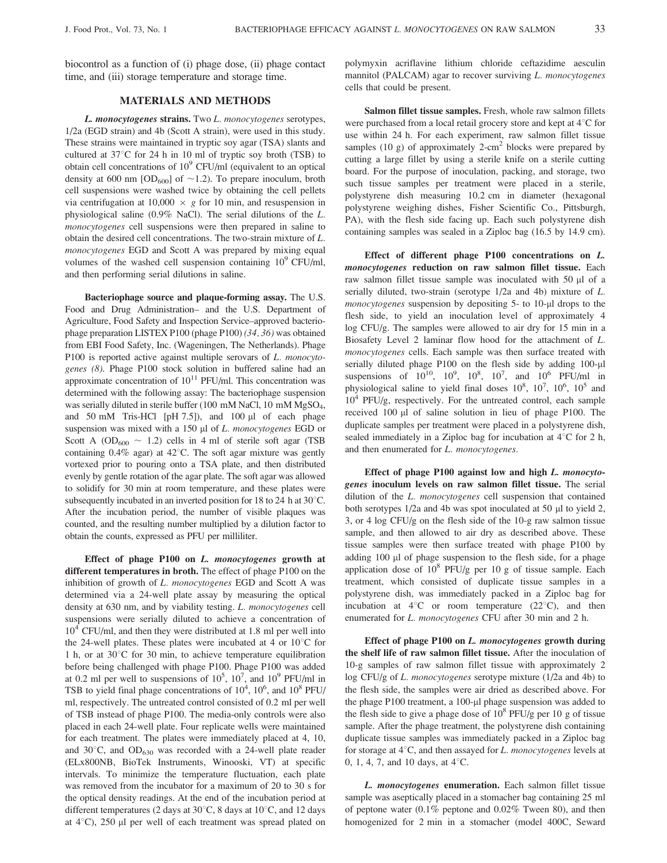biocontrol as a function of (i) phage dose, (ii) phage contact time, and (iii) storage temperature and storage time.

## MATERIALS AND METHODS

L. monocytogenes strains. Two L. monocytogenes serotypes, 1/2a (EGD strain) and 4b (Scott A strain), were used in this study. These strains were maintained in tryptic soy agar (TSA) slants and cultured at  $37^{\circ}$ C for 24 h in 10 ml of tryptic soy broth (TSB) to obtain cell concentrations of  $10^9$  CFU/ml (equivalent to an optical density at 600 nm  $[OD_{600}]$  of  $\sim$  1.2). To prepare inoculum, broth cell suspensions were washed twice by obtaining the cell pellets via centrifugation at  $10,000 \times g$  for 10 min, and resuspension in physiological saline (0.9% NaCl). The serial dilutions of the L. monocytogenes cell suspensions were then prepared in saline to obtain the desired cell concentrations. The two-strain mixture of L. monocytogenes EGD and Scott A was prepared by mixing equal volumes of the washed cell suspension containing  $10^9$  CFU/ml, and then performing serial dilutions in saline.

Bacteriophage source and plaque-forming assay. The U.S. Food and Drug Administration– and the U.S. Department of Agriculture, Food Safety and Inspection Service–approved bacteriophage preparation LISTEX P100 (phage P100) (34, 36) was obtained from EBI Food Safety, Inc. (Wageningen, The Netherlands). Phage P100 is reported active against multiple serovars of L. monocytogenes (8). Phage P100 stock solution in buffered saline had an approximate concentration of  $10^{11}$  PFU/ml. This concentration was determined with the following assay: The bacteriophage suspension was serially diluted in sterile buffer (100 mM NaCl, 10 mM MgSO<sub>4</sub>, and 50 mM Tris-HCl  $[pH 7.5]$ , and 100  $\mu$ l of each phage suspension was mixed with a 150  $\mu$ l of *L. monocytogenes* EGD or Scott A (OD<sub>600</sub>  $\sim$  1.2) cells in 4 ml of sterile soft agar (TSB containing  $0.4\%$  agar) at  $42^{\circ}$ C. The soft agar mixture was gently vortexed prior to pouring onto a TSA plate, and then distributed evenly by gentle rotation of the agar plate. The soft agar was allowed to solidify for 30 min at room temperature, and these plates were subsequently incubated in an inverted position for 18 to 24 h at  $30^{\circ}$ C. After the incubation period, the number of visible plaques was counted, and the resulting number multiplied by a dilution factor to obtain the counts, expressed as PFU per milliliter.

Effect of phage P100 on L. monocytogenes growth at different temperatures in broth. The effect of phage P100 on the inhibition of growth of L. monocytogenes EGD and Scott A was determined via a 24-well plate assay by measuring the optical density at 630 nm, and by viability testing. L. monocytogenes cell suspensions were serially diluted to achieve a concentration of  $10^4$  CFU/ml, and then they were distributed at 1.8 ml per well into the 24-well plates. These plates were incubated at 4 or  $10^{\circ}$ C for 1 h, or at  $30^{\circ}$ C for 30 min, to achieve temperature equilibration before being challenged with phage P100. Phage P100 was added at 0.2 ml per well to suspensions of  $10^5$ ,  $10^7$ , and  $10^9$  PFU/ml in TSB to yield final phage concentrations of  $10^4$ ,  $10^6$ , and  $10^8$  PFU/ ml, respectively. The untreated control consisted of 0.2 ml per well of TSB instead of phage P100. The media-only controls were also placed in each 24-well plate. Four replicate wells were maintained for each treatment. The plates were immediately placed at 4, 10, and  $30^{\circ}$ C, and  $OD_{630}$  was recorded with a 24-well plate reader (ELx800NB, BioTek Instruments, Winooski, VT) at specific intervals. To minimize the temperature fluctuation, each plate was removed from the incubator for a maximum of 20 to 30 s for the optical density readings. At the end of the incubation period at different temperatures (2 days at 30 $^{\circ}$ C, 8 days at 10 $^{\circ}$ C, and 12 days at  $4^{\circ}$ C), 250 µl per well of each treatment was spread plated on

polymyxin acriflavine lithium chloride ceftazidime aesculin mannitol (PALCAM) agar to recover surviving L. monocytogenes cells that could be present.

Salmon fillet tissue samples. Fresh, whole raw salmon fillets were purchased from a local retail grocery store and kept at  $4^{\circ}$ C for use within 24 h. For each experiment, raw salmon fillet tissue samples (10 g) of approximately 2-cm<sup>2</sup> blocks were prepared by cutting a large fillet by using a sterile knife on a sterile cutting board. For the purpose of inoculation, packing, and storage, two such tissue samples per treatment were placed in a sterile, polystyrene dish measuring 10.2 cm in diameter (hexagonal polystyrene weighing dishes, Fisher Scientific Co., Pittsburgh, PA), with the flesh side facing up. Each such polystyrene dish containing samples was sealed in a Ziploc bag (16.5 by 14.9 cm).

Effect of different phage P100 concentrations on L. monocytogenes reduction on raw salmon fillet tissue. Each raw salmon fillet tissue sample was inoculated with 50 µl of a serially diluted, two-strain (serotype 1/2a and 4b) mixture of L.  $monocy to genes$  suspension by depositing  $5-$  to  $10$ - $\mu$ l drops to the flesh side, to yield an inoculation level of approximately 4 log CFU/g. The samples were allowed to air dry for 15 min in a Biosafety Level 2 laminar flow hood for the attachment of L. monocytogenes cells. Each sample was then surface treated with serially diluted phage P100 on the flesh side by adding 100-µl suspensions of  $10^{10}$ ,  $10^{9}$ ,  $10^{8}$ ,  $10^{7}$ , and  $10^{6}$  PFU/ml in physiological saline to yield final doses  $10^8$ ,  $10^7$ ,  $10^6$ ,  $10^5$  and  $10^4$  PFU/g, respectively. For the untreated control, each sample received 100 µl of saline solution in lieu of phage P100. The duplicate samples per treatment were placed in a polystyrene dish, sealed immediately in a Ziploc bag for incubation at  $4^{\circ}$ C for 2 h, and then enumerated for L. monocytogenes.

Effect of phage P100 against low and high L. monocytogenes inoculum levels on raw salmon fillet tissue. The serial dilution of the L. monocytogenes cell suspension that contained both serotypes 1/2a and 4b was spot inoculated at 50 µl to yield 2, 3, or 4 log CFU/g on the flesh side of the 10-g raw salmon tissue sample, and then allowed to air dry as described above. These tissue samples were then surface treated with phage P100 by adding 100 µl of phage suspension to the flesh side, for a phage application dose of  $10^8$  PFU/g per 10 g of tissue sample. Each treatment, which consisted of duplicate tissue samples in a polystyrene dish, was immediately packed in a Ziploc bag for incubation at  $4^{\circ}$ C or room temperature (22 $^{\circ}$ C), and then enumerated for L. monocytogenes CFU after 30 min and 2 h.

Effect of phage P100 on L. monocytogenes growth during the shelf life of raw salmon fillet tissue. After the inoculation of 10-g samples of raw salmon fillet tissue with approximately 2 log CFU/g of L. monocytogenes serotype mixture (1/2a and 4b) to the flesh side, the samples were air dried as described above. For the phage  $P100$  treatment, a  $100$ -µl phage suspension was added to the flesh side to give a phage dose of  $10^8$  PFU/g per 10 g of tissue sample. After the phage treatment, the polystyrene dish containing duplicate tissue samples was immediately packed in a Ziploc bag for storage at  $4^{\circ}$ C, and then assayed for *L. monocytogenes* levels at 0, 1, 4, 7, and 10 days, at  $4^{\circ}$ C.

L. monocytogenes enumeration. Each salmon fillet tissue sample was aseptically placed in a stomacher bag containing 25 ml of peptone water  $(0.1\%$  peptone and  $0.02\%$  Tween 80), and then homogenized for 2 min in a stomacher (model 400C, Seward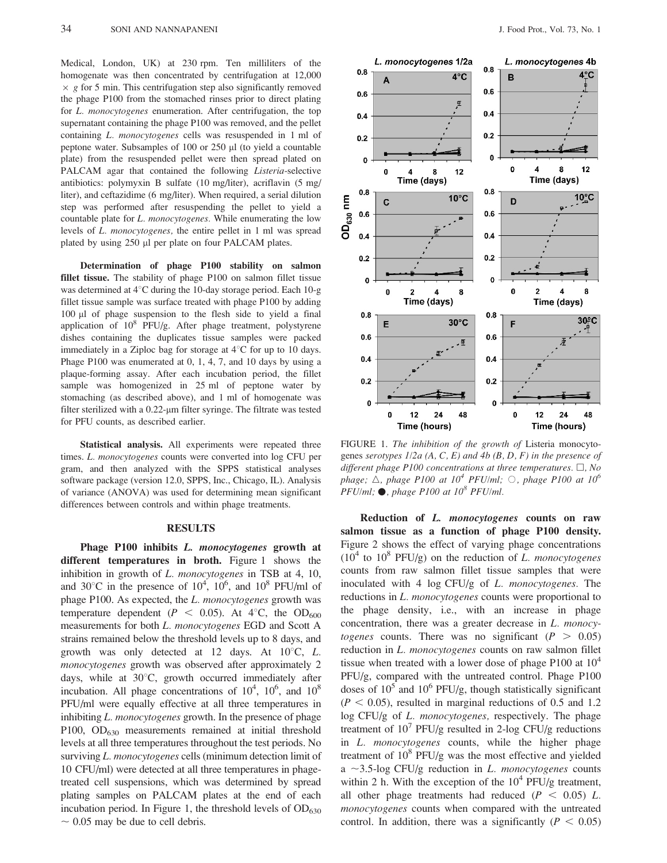Medical, London, UK) at 230 rpm. Ten milliliters of the homogenate was then concentrated by centrifugation at 12,000  $\times$  g for 5 min. This centrifugation step also significantly removed the phage P100 from the stomached rinses prior to direct plating for L. monocytogenes enumeration. After centrifugation, the top supernatant containing the phage P100 was removed, and the pellet containing L. monocytogenes cells was resuspended in 1 ml of peptone water. Subsamples of 100 or 250 ml (to yield a countable plate) from the resuspended pellet were then spread plated on PALCAM agar that contained the following Listeria-selective antibiotics: polymyxin B sulfate (10 mg/liter), acriflavin (5 mg/ liter), and ceftazidime (6 mg/liter). When required, a serial dilution step was performed after resuspending the pellet to yield a countable plate for *L. monocytogenes*. While enumerating the low levels of L. monocytogenes, the entire pellet in 1 ml was spread plated by using 250 µl per plate on four PALCAM plates.

Determination of phage P100 stability on salmon fillet tissue. The stability of phage P100 on salmon fillet tissue was determined at  $4^{\circ}$ C during the 10-day storage period. Each 10-g fillet tissue sample was surface treated with phage P100 by adding 100 ml of phage suspension to the flesh side to yield a final application of 108 PFU/g. After phage treatment, polystyrene dishes containing the duplicates tissue samples were packed immediately in a Ziploc bag for storage at  $4^{\circ}$ C for up to 10 days. Phage P100 was enumerated at 0, 1, 4, 7, and 10 days by using a plaque-forming assay. After each incubation period, the fillet sample was homogenized in 25 ml of peptone water by stomaching (as described above), and 1 ml of homogenate was filter sterilized with a  $0.22$ - $\mu$ m filter syringe. The filtrate was tested for PFU counts, as described earlier.

Statistical analysis. All experiments were repeated three times. L. monocytogenes counts were converted into log CFU per gram, and then analyzed with the SPPS statistical analyses software package (version 12.0, SPPS, Inc., Chicago, IL). Analysis of variance (ANOVA) was used for determining mean significant differences between controls and within phage treatments.

#### RESULTS

Phage P100 inhibits L. monocytogenes growth at different temperatures in broth. Figure 1 shows the inhibition in growth of L. monocytogenes in TSB at 4, 10, and 30°C in the presence of  $10^4$ ,  $10^6$ , and  $10^8$  PFU/ml of phage P100. As expected, the L. monocytogenes growth was temperature dependent ( $P < 0.05$ ). At 4<sup>°</sup>C, the OD<sub>600</sub> measurements for both L. monocytogenes EGD and Scott A strains remained below the threshold levels up to 8 days, and growth was only detected at 12 days. At  $10^{\circ}$ C, L. monocytogenes growth was observed after approximately 2 days, while at  $30^{\circ}$ C, growth occurred immediately after incubation. All phage concentrations of  $10^4$ ,  $10^6$ , and  $10^8$ PFU/ml were equally effective at all three temperatures in inhibiting *L. monocytogenes* growth. In the presence of phage P100, OD<sub>630</sub> measurements remained at initial threshold levels at all three temperatures throughout the test periods. No surviving L. monocytogenes cells (minimum detection limit of 10 CFU/ml) were detected at all three temperatures in phagetreated cell suspensions, which was determined by spread plating samples on PALCAM plates at the end of each incubation period. In Figure 1, the threshold levels of  $OD_{630}$  $\sim 0.05$  may be due to cell debris.



FIGURE 1. The inhibition of the growth of Listeria monocytogenes serotypes  $1/2a$  (A, C, E) and 4b (B, D, F) in the presence of different phage P100 concentrations at three temperatures.  $\Box$ , No phage;  $\triangle$ , phage P100 at 10<sup>4</sup> PFU/ml;  $\odot$ , phage P100 at 10<sup>6</sup>  $PFU/ml$ ;  $\bullet$ , phage P100 at 10<sup>8</sup> PFU/ml.

Reduction of L. monocytogenes counts on raw salmon tissue as a function of phage P100 density. Figure 2 shows the effect of varying phage concentrations  $(10^4$  to  $10^8$  PFU/g) on the reduction of L. monocytogenes counts from raw salmon fillet tissue samples that were inoculated with 4 log CFU/g of L. monocytogenes. The reductions in L. *monocytogenes* counts were proportional to the phage density, i.e., with an increase in phage concentration, there was a greater decrease in L. monocytogenes counts. There was no significant ( $P > 0.05$ ) reduction in L. *monocytogenes* counts on raw salmon fillet tissue when treated with a lower dose of phage P100 at  $10^4$ PFU/g, compared with the untreated control. Phage P100 doses of  $10^5$  and  $10^6$  PFU/g, though statistically significant  $(P < 0.05)$ , resulted in marginal reductions of 0.5 and 1.2 log CFU/g of L. monocytogenes, respectively. The phage treatment of  $10^7$  PFU/g resulted in 2-log CFU/g reductions in L. monocytogenes counts, while the higher phage treatment of  $10^8$  PFU/g was the most effective and yielded a  $\sim$ 3.5-log CFU/g reduction in L. monocytogenes counts within 2 h. With the exception of the  $10^4$  PFU/g treatment, all other phage treatments had reduced  $(P < 0.05)$  L. monocytogenes counts when compared with the untreated control. In addition, there was a significantly ( $P < 0.05$ )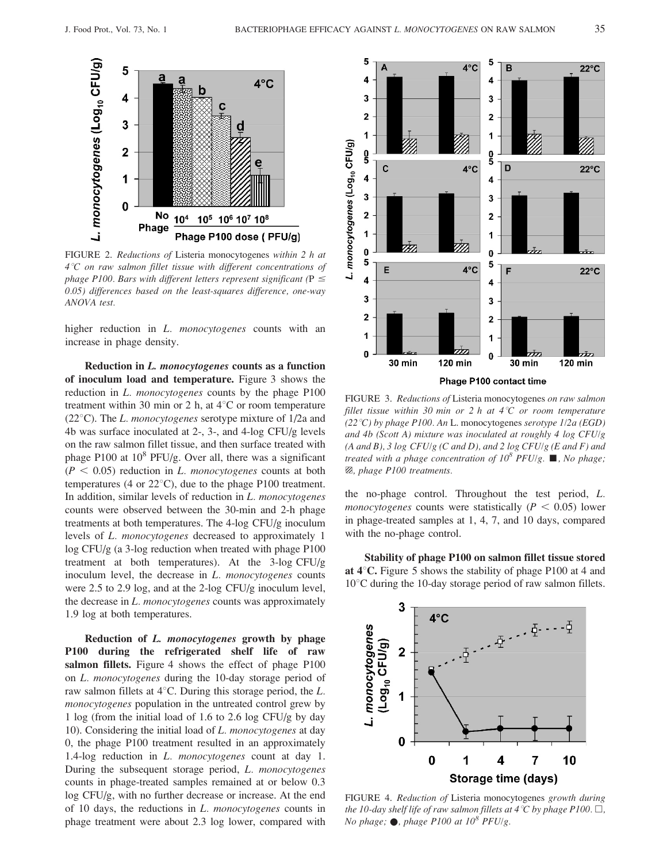

FIGURE 2. Reductions of Listeria monocytogenes within 2 h at  $4^{\circ}$ C on raw salmon fillet tissue with different concentrations of phage P100. Bars with different letters represent significant ( $P \le$ 0.05) differences based on the least-squares difference, one-way ANOVA test.

higher reduction in *L. monocytogenes* counts with an increase in phage density.

Reduction in L. monocytogenes counts as a function of inoculum load and temperature. Figure 3 shows the reduction in *L. monocytogenes* counts by the phage P100 treatment within 30 min or 2 h, at  $4^{\circ}$ C or room temperature (22 $^{\circ}$ C). The *L. monocytogenes* serotype mixture of 1/2a and 4b was surface inoculated at 2-, 3-, and 4-log CFU/g levels on the raw salmon fillet tissue, and then surface treated with phage P100 at  $10^8$  PFU/g. Over all, there was a significant  $(P < 0.05)$  reduction in L. monocytogenes counts at both temperatures (4 or  $22^{\circ}$ C), due to the phage P100 treatment. In addition, similar levels of reduction in L. monocytogenes counts were observed between the 30-min and 2-h phage treatments at both temperatures. The 4-log CFU/g inoculum levels of L. monocytogenes decreased to approximately 1 log CFU/g (a 3-log reduction when treated with phage P100 treatment at both temperatures). At the 3-log CFU/g inoculum level, the decrease in L. monocytogenes counts were 2.5 to 2.9 log, and at the 2-log CFU/g inoculum level, the decrease in L. monocytogenes counts was approximately 1.9 log at both temperatures.

Reduction of L. monocytogenes growth by phage P100 during the refrigerated shelf life of raw salmon fillets. Figure 4 shows the effect of phage P100 on L. monocytogenes during the 10-day storage period of raw salmon fillets at  $4^{\circ}$ C. During this storage period, the L. monocytogenes population in the untreated control grew by 1 log (from the initial load of 1.6 to 2.6 log CFU/g by day 10). Considering the initial load of L. monocytogenes at day 0, the phage P100 treatment resulted in an approximately 1.4-log reduction in L. monocytogenes count at day 1. During the subsequent storage period, L. monocytogenes counts in phage-treated samples remained at or below 0.3 log CFU/g, with no further decrease or increase. At the end of 10 days, the reductions in L. monocytogenes counts in phage treatment were about 2.3 log lower, compared with



FIGURE 3. Reductions of Listeria monocytogenes on raw salmon fillet tissue within 30 min or 2 h at  $4^{\circ}C$  or room temperature (22 °C) by phage P100. An L. monocytogenes serotype  $1/2a$  (EGD) and 4b (Scott A) mixture was inoculated at roughly 4 log CFU/g  $(A \text{ and } B)$ , 3 log CFU/g (C and D), and 2 log CFU/g (E and F) and treated with a phage concentration of  $10^8$  PFU/g.  $\blacksquare$ , No phage;  $\boxtimes$ , phage P100 treatments.

the no-phage control. Throughout the test period, L. *monocytogenes* counts were statistically ( $P < 0.05$ ) lower in phage-treated samples at 1, 4, 7, and 10 days, compared with the no-phage control.

Stability of phage P100 on salmon fillet tissue stored at  $4^{\circ}$ C. Figure 5 shows the stability of phage P100 at 4 and  $10^{\circ}$ C during the 10-day storage period of raw salmon fillets.



FIGURE 4. Reduction of Listeria monocytogenes growth during the 10-day shelf life of raw salmon fillets at 4 °C by phage P100.  $\Box$ , No phage;  $\bullet$ , phage P100 at 10<sup>8</sup> PFU/g.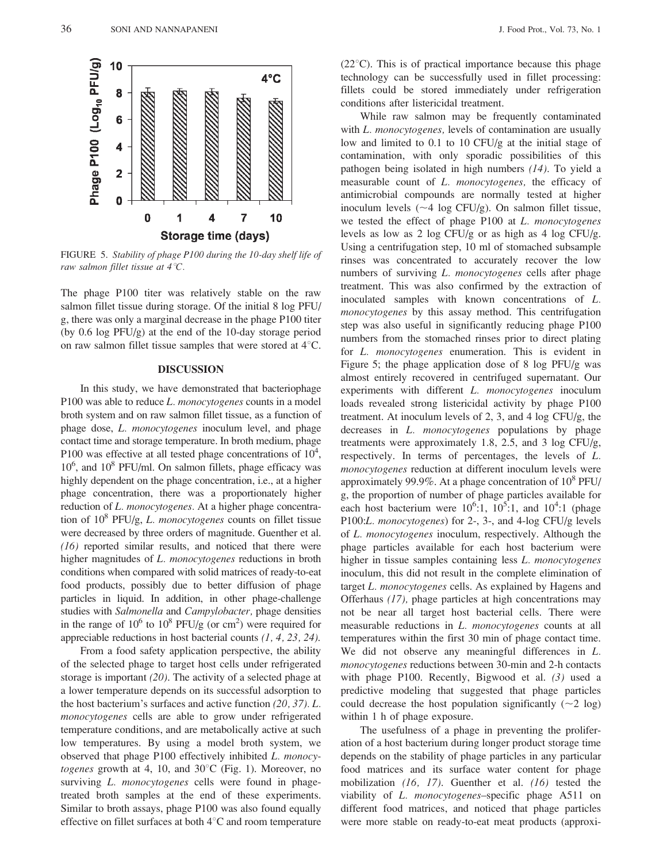

FIGURE 5. Stability of phage P100 during the 10-day shelf life of raw salmon fillet tissue at  $4^{\circ}C$ .

The phage P100 titer was relatively stable on the raw salmon fillet tissue during storage. Of the initial 8 log PFU/ g, there was only a marginal decrease in the phage P100 titer (by 0.6 log PFU/g) at the end of the 10-day storage period on raw salmon fillet tissue samples that were stored at  $4^{\circ}$ C.

#### DISCUSSION

In this study, we have demonstrated that bacteriophage P100 was able to reduce L. monocytogenes counts in a model broth system and on raw salmon fillet tissue, as a function of phage dose, L. monocytogenes inoculum level, and phage contact time and storage temperature. In broth medium, phage P100 was effective at all tested phage concentrations of  $10^4$ , 10<sup>6</sup>, and 10<sup>8</sup> PFU/ml. On salmon fillets, phage efficacy was highly dependent on the phage concentration, i.e., at a higher phage concentration, there was a proportionately higher reduction of L. monocytogenes. At a higher phage concentration of  $10^8$  PFU/g, *L. monocytogenes* counts on fillet tissue were decreased by three orders of magnitude. Guenther et al. (16) reported similar results, and noticed that there were higher magnitudes of L. monocytogenes reductions in broth conditions when compared with solid matrices of ready-to-eat food products, possibly due to better diffusion of phage particles in liquid. In addition, in other phage-challenge studies with Salmonella and Campylobacter, phage densities in the range of  $10^6$  to  $10^8$  PFU/g (or cm<sup>2</sup>) were required for appreciable reductions in host bacterial counts  $(1, 4, 23, 24)$ .

From a food safety application perspective, the ability of the selected phage to target host cells under refrigerated storage is important (20). The activity of a selected phage at a lower temperature depends on its successful adsorption to the host bacterium's surfaces and active function (20, 37). L. monocytogenes cells are able to grow under refrigerated temperature conditions, and are metabolically active at such low temperatures. By using a model broth system, we observed that phage P100 effectively inhibited L. monocytogenes growth at 4, 10, and  $30^{\circ}$ C (Fig. 1). Moreover, no surviving *L. monocytogenes* cells were found in phagetreated broth samples at the end of these experiments. Similar to broth assays, phage P100 was also found equally effective on fillet surfaces at both  $4^{\circ}$ C and room temperature

 $(22^{\circ}C)$ . This is of practical importance because this phage technology can be successfully used in fillet processing: fillets could be stored immediately under refrigeration conditions after listericidal treatment.

While raw salmon may be frequently contaminated with L. monocytogenes, levels of contamination are usually low and limited to 0.1 to 10 CFU/g at the initial stage of contamination, with only sporadic possibilities of this pathogen being isolated in high numbers (14). To yield a measurable count of L. monocytogenes, the efficacy of antimicrobial compounds are normally tested at higher inoculum levels  $(\sim 4 \log CFU/g)$ . On salmon fillet tissue, we tested the effect of phage P100 at L. monocytogenes levels as low as 2 log CFU/g or as high as 4 log CFU/g. Using a centrifugation step, 10 ml of stomached subsample rinses was concentrated to accurately recover the low numbers of surviving L. monocytogenes cells after phage treatment. This was also confirmed by the extraction of inoculated samples with known concentrations of L. monocytogenes by this assay method. This centrifugation step was also useful in significantly reducing phage P100 numbers from the stomached rinses prior to direct plating for L. monocytogenes enumeration. This is evident in Figure 5; the phage application dose of 8 log PFU/g was almost entirely recovered in centrifuged supernatant. Our experiments with different *L. monocytogenes* inoculum loads revealed strong listericidal activity by phage P100 treatment. At inoculum levels of 2, 3, and 4 log CFU/g, the decreases in *L. monocytogenes* populations by phage treatments were approximately 1.8, 2.5, and 3 log CFU/g, respectively. In terms of percentages, the levels of L. monocytogenes reduction at different inoculum levels were approximately 99.9%. At a phage concentration of  $10^8$  PFU/ g, the proportion of number of phage particles available for each host bacterium were  $10^6$ :1,  $10^5$ :1, and  $10^4$ :1 (phage P100:L. monocytogenes) for 2-, 3-, and 4-log CFU/g levels of L. monocytogenes inoculum, respectively. Although the phage particles available for each host bacterium were higher in tissue samples containing less L. monocytogenes inoculum, this did not result in the complete elimination of target L. monocytogenes cells. As explained by Hagens and Offerhaus (17), phage particles at high concentrations may not be near all target host bacterial cells. There were measurable reductions in L. monocytogenes counts at all temperatures within the first 30 min of phage contact time. We did not observe any meaningful differences in L. monocytogenes reductions between 30-min and 2-h contacts with phage P100. Recently, Bigwood et al. (3) used a predictive modeling that suggested that phage particles could decrease the host population significantly  $(\sim 2 \text{ log})$ within 1 h of phage exposure.

The usefulness of a phage in preventing the proliferation of a host bacterium during longer product storage time depends on the stability of phage particles in any particular food matrices and its surface water content for phage mobilization (16, 17). Guenther et al. (16) tested the viability of L. monocytogenes–specific phage A511 on different food matrices, and noticed that phage particles were more stable on ready-to-eat meat products (approxi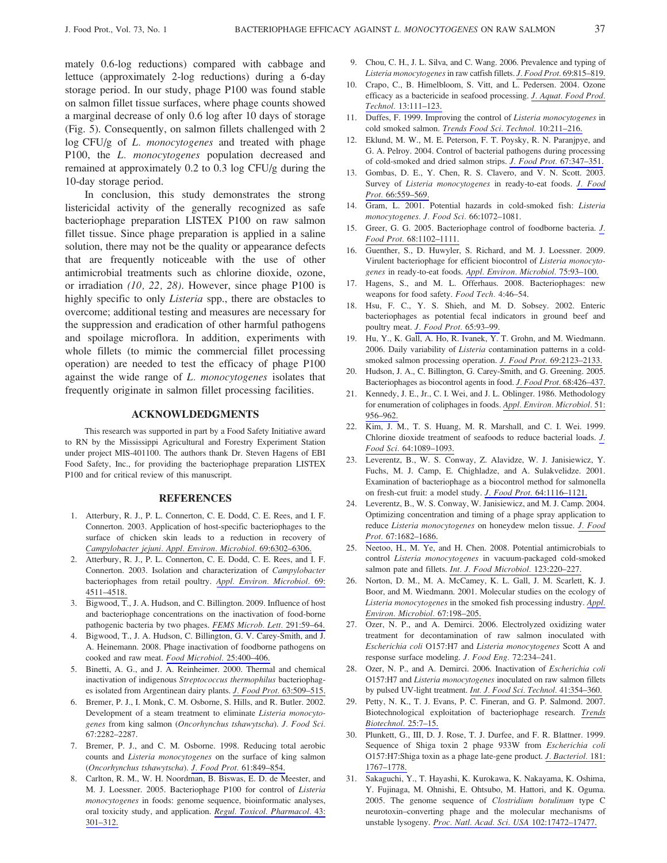mately 0.6-log reductions) compared with cabbage and lettuce (approximately 2-log reductions) during a 6-day storage period. In our study, phage P100 was found stable on salmon fillet tissue surfaces, where phage counts showed a marginal decrease of only 0.6 log after 10 days of storage (Fig. 5). Consequently, on salmon fillets challenged with 2 log CFU/g of L. *monocytogenes* and treated with phage P100, the *L. monocytogenes* population decreased and remained at approximately 0.2 to 0.3 log CFU/g during the 10-day storage period.

In conclusion, this study demonstrates the strong listericidal activity of the generally recognized as safe bacteriophage preparation LISTEX P100 on raw salmon fillet tissue. Since phage preparation is applied in a saline solution, there may not be the quality or appearance defects that are frequently noticeable with the use of other antimicrobial treatments such as chlorine dioxide, ozone, or irradiation (10, 22, 28). However, since phage P100 is highly specific to only *Listeria* spp., there are obstacles to overcome; additional testing and measures are necessary for the suppression and eradication of other harmful pathogens and spoilage microflora. In addition, experiments with whole fillets (to mimic the commercial fillet processing operation) are needed to test the efficacy of phage P100 against the wide range of L. monocytogenes isolates that frequently originate in salmon fillet processing facilities.

### ACKNOWLDEDGMENTS

This research was supported in part by a Food Safety Initiative award to RN by the Mississippi Agricultural and Forestry Experiment Station under project MIS-401100. The authors thank Dr. Steven Hagens of EBI Food Safety, Inc., for providing the bacteriophage preparation LISTEX P100 and for critical review of this manuscript.

#### **REFERENCES**

- 1. Atterbury, R. J., P. L. Connerton, C. E. Dodd, C. E. Rees, and I. F. Connerton. 2003. Application of host-specific bacteriophages to the surface of chicken skin leads to a reduction in recovery of [Campylobacter jejuni. Appl. Environ. Microbiol.](http://www.ingentaconnect.com/content/external-references?article=0099-2240()69L.6302[aid=6431927]) 69:6302–6306.
- 2. Atterbury, R. J., P. L. Connerton, C. E. Dodd, C. E. Rees, and I. F. Connerton. 2003. Isolation and characterization of Campylobacter bacteriophages from retail poultry. [Appl. Environ. Microbiol.](http://www.ingentaconnect.com/content/external-references?article=0099-2240()69L.4511[aid=6431928]) 69: [4511–4518.](http://www.ingentaconnect.com/content/external-references?article=0099-2240()69L.4511[aid=6431928])
- 3. Bigwood, T., J. A. Hudson, and C. Billington. 2009. Influence of host and bacteriophage concentrations on the inactivation of food-borne pathogenic bacteria by two phages. [FEMS Microb. Lett.](http://www.ingentaconnect.com/content/external-references?article=0378-1097()291L.59[aid=9048042]) 291:59–64.
- 4. Bigwood, T., J. A. Hudson, C. Billington, G. V. Carey-Smith, and J. A. Heinemann. 2008. Phage inactivation of foodborne pathogens on cooked and raw meat. [Food Microbiol.](http://www.ingentaconnect.com/content/external-references?article=0740-0020()25L.400[aid=9048041]) 25:400–406.
- 5. Binetti, A. G., and J. A. Reinheimer. 2000. Thermal and chemical inactivation of indigenous Streptococcus thermophilus bacteriophages isolated from Argentinean dairy plants. [J. Food Prot.](http://www.ingentaconnect.com/content/external-references?article=0362-028x()63L.509[aid=3160798]) 63:509–515.
- 6. Bremer, P. J., I. Monk, C. M. Osborne, S. Hills, and R. Butler. 2002. Development of a steam treatment to eliminate Listeria monocytogenes from king salmon (Oncorhynchus tshawytscha). J. Food Sci. 67:2282–2287.
- 7. Bremer, P. J., and C. M. Osborne. 1998. Reducing total aerobic counts and Listeria monocytogenes on the surface of king salmon (Oncorhynchus tshawytscha). [J. Food Prot.](http://www.ingentaconnect.com/content/external-references?article=0362-028x()61L.849[aid=3446568]) 61:849–854.
- 8. Carlton, R. M., W. H. Noordman, B. Biswas, E. D. de Meester, and M. J. Loessner. 2005. Bacteriophage P100 for control of Listeria monocytogenes in foods: genome sequence, bioinformatic analyses, oral toxicity study, and application. [Regul. Toxicol. Pharmacol.](http://www.ingentaconnect.com/content/external-references?article=0273-2300()43L.301[aid=9048039]) 43: [301–312.](http://www.ingentaconnect.com/content/external-references?article=0273-2300()43L.301[aid=9048039])
- 9. Chou, C. H., J. L. Silva, and C. Wang. 2006. Prevalence and typing of Listeria monocytogenes in raw catfish fillets. [J. Food Prot.](http://www.ingentaconnect.com/content/external-references?article=0362-028x()69L.815[aid=8407313]) 69:815–819.
- 10. Crapo, C., B. Himelbloom, S. Vitt, and L. Pedersen. 2004. Ozone efficacy as a bactericide in seafood processing. [J. Aquat. Food Prod.](http://www.ingentaconnect.com/content/external-references?article=1049-8850()13L.111[aid=8045085]) Technol. [13:111–123.](http://www.ingentaconnect.com/content/external-references?article=1049-8850()13L.111[aid=8045085])
- 11. Duffes, F. 1999. Improving the control of Listeria monocytogenes in cold smoked salmon. [Trends Food Sci. Technol.](http://www.ingentaconnect.com/content/external-references?article=0924-2244()10L.211[aid=7993651]) 10:211–216.
- 12. Eklund, M. W., M. E. Peterson, F. T. Poysky, R. N. Paranjpye, and G. A. Pelroy. 2004. Control of bacterial pathogens during processing of cold-smoked and dried salmon strips. [J. Food Prot.](http://www.ingentaconnect.com/content/external-references?article=0362-028x()67L.347[aid=9048038]) 67:347–351.
- 13. Gombas, D. E., Y. Chen, R. S. Clavero, and V. N. Scott. 2003. Survey of Listeria monocytogenes in ready-to-eat foods. [J. Food](http://www.ingentaconnect.com/content/external-references?article=0362-028x()66L.559[aid=4793453]) Prot. [66:559–569.](http://www.ingentaconnect.com/content/external-references?article=0362-028x()66L.559[aid=4793453])
- 14. Gram, L. 2001. Potential hazards in cold-smoked fish: Listeria monocytogenes. J. Food Sci. 66:1072–1081.
- 15. Greer, G. G. 2005. Bacteriophage control of foodborne bacteria. [J.](http://www.ingentaconnect.com/content/external-references?article=0362-028x()68L.1102[aid=7992728]) Food Prot. [68:1102–1111.](http://www.ingentaconnect.com/content/external-references?article=0362-028x()68L.1102[aid=7992728])
- 16. Guenther, S., D. Huwyler, S. Richard, and M. J. Loessner. 2009. Virulent bacteriophage for efficient biocontrol of Listeria monocytogenes in ready-to-eat foods. [Appl. Environ. Microbiol.](http://www.ingentaconnect.com/content/external-references?article=0099-2240()75L.93[aid=9048037]) 75:93–100.
- 17. Hagens, S., and M. L. Offerhaus. 2008. Bacteriophages: new weapons for food safety. Food Tech. 4:46–54.
- 18. Hsu, F. C., Y. S. Shieh, and M. D. Sobsey. 2002. Enteric bacteriophages as potential fecal indicators in ground beef and poultry meat. [J. Food Prot.](http://www.ingentaconnect.com/content/external-references?article=0362-028x()65L.93[aid=3160679]) 65:93–99.
- 19. Hu, Y., K. Gall, A. Ho, R. Ivanek, Y. T. Grohn, and M. Wiedmann. 2006. Daily variability of Listeria contamination patterns in a coldsmoked salmon processing operation. J. Food Prot. [69:2123–2133.](http://www.ingentaconnect.com/content/external-references?article=0362-028x()69L.2123[aid=9048035])
- 20. Hudson, J. A., C. Billington, G. Carey-Smith, and G. Greening. 2005. Bacteriophages as biocontrol agents in food. [J. Food Prot.](http://www.ingentaconnect.com/content/external-references?article=0362-028x()68L.426[aid=7993312]) 68:426–437.
- 21. Kennedy, J. E., Jr., C. I. Wei, and J. L. Oblinger. 1986. Methodology for enumeration of coliphages in foods. [Appl. Environ. Microbiol.](http://www.ingentaconnect.com/content/external-references?article=0099-2240()51L.956[aid=2367211]) 51: [956–962.](http://www.ingentaconnect.com/content/external-references?article=0099-2240()51L.956[aid=2367211])
- 22. Kim, J. M., T. S. Huang, M. R. Marshall, and C. I. Wei. 1999. Chlorine dioxide treatment of seafoods to reduce bacterial loads. [J.](http://www.ingentaconnect.com/content/external-references?article=0022-1147()64L.1089[aid=4852932]) Food Sci. [64:1089–1093.](http://www.ingentaconnect.com/content/external-references?article=0022-1147()64L.1089[aid=4852932])
- 23. Leverentz, B., W. S. Conway, Z. Alavidze, W. J. Janisiewicz, Y. Fuchs, M. J. Camp, E. Chighladze, and A. Sulakvelidze. 2001. Examination of bacteriophage as a biocontrol method for salmonella on fresh-cut fruit: a model study. J. Food Prot. [64:1116–1121.](http://www.ingentaconnect.com/content/external-references?article=0362-028x()64L.1116[aid=3478741])
- 24. Leverentz, B., W. S. Conway, W. Janisiewicz, and M. J. Camp. 2004. Optimizing concentration and timing of a phage spray application to reduce Listeria monocytogenes on honeydew melon tissue. [J. Food](http://www.ingentaconnect.com/content/external-references?article=0362-028X()67L.1682[aid=6602317]) Prot. [67:1682–1686.](http://www.ingentaconnect.com/content/external-references?article=0362-028X()67L.1682[aid=6602317])
- 25. Neetoo, H., M. Ye, and H. Chen. 2008. Potential antimicrobials to control Listeria monocytogenes in vacuum-packaged cold-smoked salmon pate and fillets. [Int. J. Food Microbiol.](http://www.ingentaconnect.com/content/external-references?article=0168-1605()123L.220[aid=9048034]) 123:220–227.
- 26. Norton, D. M., M. A. McCamey, K. L. Gall, J. M. Scarlett, K. J. Boor, and M. Wiedmann. 2001. Molecular studies on the ecology of Listeria monocytogenes in the smoked fish processing industry. [Appl.](http://www.ingentaconnect.com/content/external-references?article=0099-2240()67L.198[aid=3099417]) [Environ. Microbiol.](http://www.ingentaconnect.com/content/external-references?article=0099-2240()67L.198[aid=3099417]) 67:198–205.
- 27. Ozer, N. P., and A. Demirci. 2006. Electrolyzed oxidizing water treatment for decontamination of raw salmon inoculated with Escherichia coli O157:H7 and Listeria monocytogenes Scott A and response surface modeling. J. Food Eng. 72:234–241.
- 28. Ozer, N. P., and A. Demirci. 2006. Inactivation of Escherichia coli O157:H7 and Listeria monocytogenes inoculated on raw salmon fillets by pulsed UV-light treatment. [Int. J. Food Sci. Technol.](http://www.ingentaconnect.com/content/external-references?article=0950-5423()41L.354[aid=8629298]) 41:354–360.
- 29. Petty, N. K., T. J. Evans, P. C. Fineran, and G. P. Salmond. 2007. Biotechnological exploitation of bacteriophage research. [Trends](http://www.ingentaconnect.com/content/external-references?article=0167-7799()25L.7[aid=9048033]) [Biotechnol.](http://www.ingentaconnect.com/content/external-references?article=0167-7799()25L.7[aid=9048033]) 25:7–15.
- 30. Plunkett, G., III, D. J. Rose, T. J. Durfee, and F. R. Blattner. 1999. Sequence of Shiga toxin 2 phage 933W from Escherichia coli O157:H7:Shiga toxin as a phage late-gene product. [J. Bacteriol.](http://www.ingentaconnect.com/content/external-references?article=0021-9193()181L.1767[aid=8250740]) 181: [1767–1778.](http://www.ingentaconnect.com/content/external-references?article=0021-9193()181L.1767[aid=8250740])
- 31. Sakaguchi, Y., T. Hayashi, K. Kurokawa, K. Nakayama, K. Oshima, Y. Fujinaga, M. Ohnishi, E. Ohtsubo, M. Hattori, and K. Oguma. 2005. The genome sequence of Clostridium botulinum type C neurotoxin–converting phage and the molecular mechanisms of unstable lysogeny. [Proc. Natl. Acad. Sci. USA](http://www.ingentaconnect.com/content/external-references?article=0027-8424()102L.17472[aid=9048032]) 102:17472–17477.